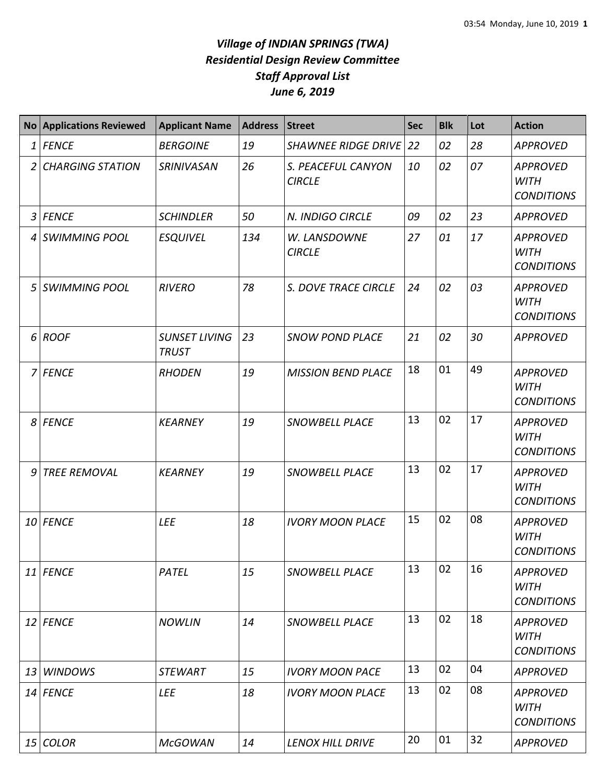## *Village of INDIAN SPRINGS (TWA) Residential Design Review Committee Staff Approval List June 6, 2019*

| <b>No</b>      | <b>Applications Reviewed</b> | <b>Applicant Name</b>                | <b>Address</b> | <b>Street</b>                       | <b>Sec</b> | <b>Blk</b> | Lot | <b>Action</b>                                       |
|----------------|------------------------------|--------------------------------------|----------------|-------------------------------------|------------|------------|-----|-----------------------------------------------------|
|                | $1$ FENCE                    | <b>BERGOINE</b>                      | 19             | <b>SHAWNEE RIDGE DRIVE</b>          | 22         | 02         | 28  | <b>APPROVED</b>                                     |
| 2              | <b>CHARGING STATION</b>      | <b>SRINIVASAN</b>                    | 26             | S. PEACEFUL CANYON<br><b>CIRCLE</b> | 10         | 02         | 07  | <b>APPROVED</b><br><b>WITH</b><br><b>CONDITIONS</b> |
| 3 <sup>1</sup> | <b>FENCE</b>                 | <b>SCHINDLER</b>                     | 50             | N. INDIGO CIRCLE                    | 09         | 02         | 23  | <b>APPROVED</b>                                     |
| $\overline{4}$ | <b>SWIMMING POOL</b>         | <b>ESQUIVEL</b>                      | 134            | W. LANSDOWNE<br><b>CIRCLE</b>       | 27         | 01         | 17  | <b>APPROVED</b><br><b>WITH</b><br><b>CONDITIONS</b> |
| 5 <sup>1</sup> | <b>SWIMMING POOL</b>         | <b>RIVERO</b>                        | 78             | S. DOVE TRACE CIRCLE                | 24         | 02         | 03  | <b>APPROVED</b><br><b>WITH</b><br><b>CONDITIONS</b> |
| 6              | <b>ROOF</b>                  | <b>SUNSET LIVING</b><br><b>TRUST</b> | 23             | <b>SNOW POND PLACE</b>              | 21         | 02         | 30  | <b>APPROVED</b>                                     |
| $\overline{7}$ | <b>FENCE</b>                 | <b>RHODEN</b>                        | 19             | <b>MISSION BEND PLACE</b>           | 18         | 01         | 49  | <b>APPROVED</b><br><b>WITH</b><br><b>CONDITIONS</b> |
| 8              | <b>FENCE</b>                 | <b>KEARNEY</b>                       | 19             | SNOWBELL PLACE                      | 13         | 02         | 17  | <b>APPROVED</b><br><b>WITH</b><br><b>CONDITIONS</b> |
| 9              | <b>TREE REMOVAL</b>          | <b>KEARNEY</b>                       | 19             | SNOWBELL PLACE                      | 13         | 02         | 17  | <b>APPROVED</b><br><b>WITH</b><br><b>CONDITIONS</b> |
|                | 10 FENCE                     | <b>LEE</b>                           | 18             | <b>IVORY MOON PLACE</b>             | 15         | 02         | 08  | <b>APPROVED</b><br><b>WITH</b><br><b>CONDITIONS</b> |
|                | 11 FENCE                     | PATEL                                | 15             | SNOWBELL PLACE                      | 13         | 02         | 16  | <b>APPROVED</b><br><b>WITH</b><br><b>CONDITIONS</b> |
|                | 12 FENCE                     | <b>NOWLIN</b>                        | 14             | SNOWBELL PLACE                      | 13         | 02         | 18  | <b>APPROVED</b><br>WITH<br><b>CONDITIONS</b>        |
| 13             | <b>WINDOWS</b>               | <b>STEWART</b>                       | 15             | <b>IVORY MOON PACE</b>              | 13         | 02         | 04  | <b>APPROVED</b>                                     |
|                | 14 FENCE                     | <b>LEE</b>                           | 18             | <b>IVORY MOON PLACE</b>             | 13         | 02         | 08  | <b>APPROVED</b><br>WITH<br><b>CONDITIONS</b>        |
|                | 15 COLOR                     | <b>McGOWAN</b>                       | 14             | LENOX HILL DRIVE                    | 20         | 01         | 32  | <b>APPROVED</b>                                     |